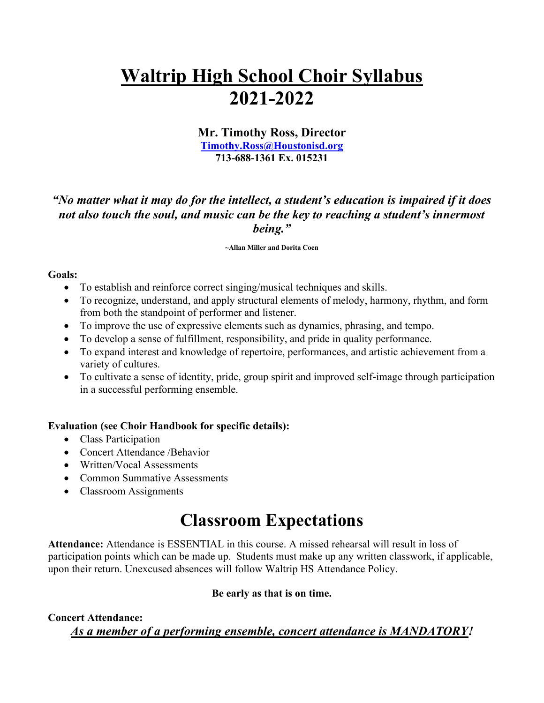# **Waltrip High School Choir Syllabus 2021-2022**

## **Mr. Timothy Ross, Director [Timothy.Ross@Houstonisd.org](mailto:Timothy.Ross@Houstonisd.org) 713-688-1361 Ex. 015231**

"No matter what it may do for the intellect, a student's education is impaired if it does *not also touch the soul, and music can be the key to reaching a student's innermost being."*

#### **~Allan Miller and Dorita Coen**

#### **Goals:**

- To establish and reinforce correct singing/musical techniques and skills.
- To recognize, understand, and apply structural elements of melody, harmony, rhythm, and form from both the standpoint of performer and listener.
- To improve the use of expressive elements such as dynamics, phrasing, and tempo.
- To develop a sense of fulfillment, responsibility, and pride in quality performance.
- To expand interest and knowledge of repertoire, performances, and artistic achievement from a variety of cultures.
- To cultivate a sense of identity, pride, group spirit and improved self-image through participation in a successful performing ensemble.

#### **Evaluation (see Choir Handbook for specific details):**

- Class Participation
- Concert Attendance /Behavior
- Written/Vocal Assessments
- Common Summative Assessments
- Classroom Assignments

## **Classroom Expectations**

**Attendance:** Attendance is ESSENTIAL in this course. A missed rehearsal will result in loss of participation points which can be made up. Students must make up any written classwork, if applicable, upon their return. Unexcused absences will follow Waltrip HS Attendance Policy.

## **Be early as that is on time.**

## **Concert Attendance:**

*As a member of a performing ensemble, concert attendance is MANDATORY!*